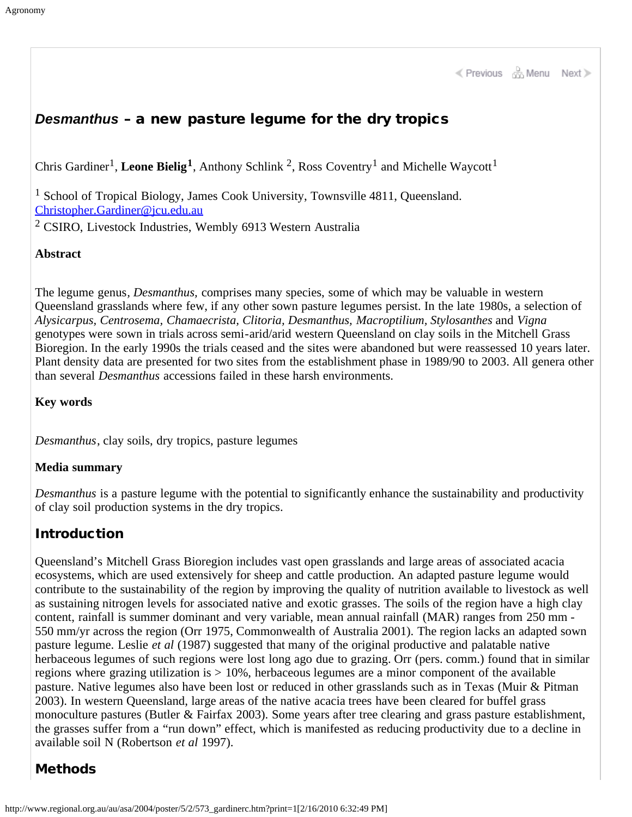K Previous & Menu Next >

### *Desmanthus* – a new pasture legume for the dry tropics

Chris Gardiner<sup>1</sup>, Leone Bielig<sup>1</sup>, Anthony Schlink<sup>2</sup>, Ross Coventry<sup>1</sup> and Michelle Waycott<sup>1</sup>

<sup>1</sup> School of Tropical Biology, James Cook University, Townsville 4811, Queensland. [Christopher.Gardiner@jcu.edu.au](mailto:Christopher.Gardiner@jcu.edu.au)

<sup>2</sup> CSIRO, Livestock Industries, Wembly 6913 Western Australia

#### **Abstract**

The legume genus*, Desmanthus,* comprises many species, some of which may be valuable in western Queensland grasslands where few, if any other sown pasture legumes persist. In the late 1980s, a selection of *Alysicarpus, Centrosema, Chamaecrista, Clitoria, Desmanthus, Macroptilium, Stylosanthes* and *Vigna* genotypes were sown in trials across semi-arid/arid western Queensland on clay soils in the Mitchell Grass Bioregion. In the early 1990s the trials ceased and the sites were abandoned but were reassessed 10 years later. Plant density data are presented for two sites from the establishment phase in 1989/90 to 2003. All genera other than several *Desmanthus* accessions failed in these harsh environments.

**Key words**

*Desmanthus*, clay soils, dry tropics, pasture legumes

#### **Media summary**

*Desmanthus* is a pasture legume with the potential to significantly enhance the sustainability and productivity of clay soil production systems in the dry tropics.

#### Introduction

Queensland's Mitchell Grass Bioregion includes vast open grasslands and large areas of associated acacia ecosystems, which are used extensively for sheep and cattle production. An adapted pasture legume would contribute to the sustainability of the region by improving the quality of nutrition available to livestock as well as sustaining nitrogen levels for associated native and exotic grasses. The soils of the region have a high clay content, rainfall is summer dominant and very variable, mean annual rainfall (MAR) ranges from 250 mm - 550 mm/yr across the region (Orr 1975, Commonwealth of Australia 2001). The region lacks an adapted sown pasture legume. Leslie *et al* (1987) suggested that many of the original productive and palatable native herbaceous legumes of such regions were lost long ago due to grazing. Orr (pers. comm.) found that in similar regions where grazing utilization is > 10%, herbaceous legumes are a minor component of the available pasture. Native legumes also have been lost or reduced in other grasslands such as in Texas (Muir & Pitman 2003). In western Queensland, large areas of the native acacia trees have been cleared for buffel grass monoculture pastures (Butler & Fairfax 2003). Some years after tree clearing and grass pasture establishment, the grasses suffer from a "run down" effect, which is manifested as reducing productivity due to a decline in available soil N (Robertson *et al* 1997).

### Methods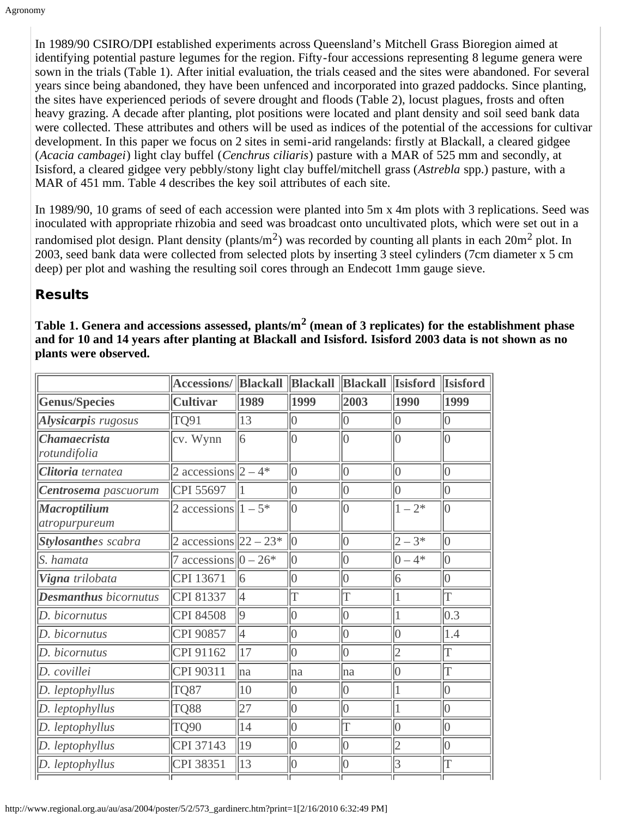In 1989/90 CSIRO/DPI established experiments across Queensland's Mitchell Grass Bioregion aimed at identifying potential pasture legumes for the region. Fifty-four accessions representing 8 legume genera were sown in the trials (Table 1). After initial evaluation, the trials ceased and the sites were abandoned. For several years since being abandoned, they have been unfenced and incorporated into grazed paddocks. Since planting, the sites have experienced periods of severe drought and floods (Table 2), locust plagues, frosts and often heavy grazing. A decade after planting, plot positions were located and plant density and soil seed bank data were collected. These attributes and others will be used as indices of the potential of the accessions for cultivar development. In this paper we focus on 2 sites in semi-arid rangelands: firstly at Blackall, a cleared gidgee (*Acacia cambagei*) light clay buffel (*Cenchrus ciliaris*) pasture with a MAR of 525 mm and secondly, at Isisford, a cleared gidgee very pebbly/stony light clay buffel/mitchell grass (*Astrebla* spp.) pasture, with a MAR of 451 mm. Table 4 describes the key soil attributes of each site.

In 1989/90, 10 grams of seed of each accession were planted into 5m x 4m plots with 3 replications. Seed was inoculated with appropriate rhizobia and seed was broadcast onto uncultivated plots, which were set out in a randomised plot design. Plant density (plants/m<sup>2</sup>) was recorded by counting all plants in each  $20m^2$  plot. In 2003, seed bank data were collected from selected plots by inserting 3 steel cylinders (7cm diameter x 5 cm deep) per plot and washing the resulting soil cores through an Endecott 1mm gauge sieve.

# Results

**Table 1. Genera and accessions assessed, plants/m2 (mean of 3 replicates) for the establishment phase and for 10 and 14 years after planting at Blackall and Isisford. Isisford 2003 data is not shown as no plants were observed.**

|                                            | <b>Accessions/ Blackall Blackall Blackall</b> |              |                 |                 | <b>Isisford</b> | <b>Isisford</b> |
|--------------------------------------------|-----------------------------------------------|--------------|-----------------|-----------------|-----------------|-----------------|
| <b>Genus/Species</b>                       | <b>Cultivar</b>                               | 1989         | 1999            | 2003            | 1990            | 1999            |
| Alysicarpis rugosus                        | TQ91                                          | 13           | 10              | $ 0\rangle$     | 10              | $ 0\rangle$     |
| <i><b>Chamaecrista</b></i><br>rotundifolia | cv. Wynn                                      | 6            | 10              | $\vert$ 0       | 10              | $\vert$ 0       |
| Clitoria ternatea                          | 2 accessions $ 2 - 4^* $                      |              | $\vert 0 \vert$ | $\vert 0 \vert$ | $\vert 0 \vert$ | $\vert 0 \vert$ |
| Centrosema pascuorum                       | CPI 55697                                     |              | $\vert 0 \vert$ | 10              | $\vert 0 \vert$ | 10              |
| <b>Macroptilium</b><br>atropurpureum       | 2 accessions $\ 1 - 5^*\ $                    |              | 10              | 10              | $1 - 2^*$       | 10              |
| <b>Stylosanthes</b> scabra                 | 2 accessions $ 22 - 23^* $                    |              | $ 0\rangle$     | $ 0\rangle$     | $ 2 - 3*$       | $ 0\rangle$     |
| S. hamata                                  | 7 accessions $\vert 0 - 26^* \vert$           |              | $ 0\rangle$     | $\vert 0 \vert$ | $ 0-4*$         | $\vert 0 \vert$ |
| Vigna trilobata                            | CPI 13671                                     | 16           | $ 0\rangle$     | $ 0\rangle$     | 6               | $ 0\rangle$     |
| <b>Desmanthus</b> bicornutus               | CPI 81337                                     | 14           | İΤ              | ΙT              | $\overline{1}$  | İΤ              |
| D. bicornutus                              | CPI 84508                                     | 9            | 10              | $ 0\rangle$     | $\mathbf{1}$    | 0.3             |
| D. bicornutus                              | CPI 90857                                     | 4            | $\vert 0 \vert$ | $\vert 0 \vert$ | $\vert 0 \vert$ | 1.4             |
| D. bicornutus                              | CPI 91162                                     | 17           | 10              | 10              | 2               | İΤ              |
| D. covillei                                | CPI 90311                                     | lna          | lna             | lna             | 10              | lΤ              |
| D. leptophyllus                            | <b>TQ87</b>                                   | 10           | $ 0\rangle$     | $ 0\rangle$     | $\overline{1}$  | 10              |
| D. leptophyllus                            | TQ88                                          | 27           | $ 0\rangle$     | $ 0\rangle$     | $\vert$         | $ 0\rangle$     |
| D. leptophyllus                            | TQ90                                          | 14           | $\vert 0 \vert$ | ΙT              | 10              | $\vert 0 \vert$ |
| D. leptophyllus                            | CPI 37143                                     | 19           | $\vert 0 \vert$ | $\vert 0 \vert$ | 2               | $\vert 0 \vert$ |
| D. leptophyllus                            | CPI 38351                                     | $ 13\rangle$ | $ 0\rangle$     | $ 0\rangle$     | 3               | T               |
|                                            |                                               |              |                 |                 |                 |                 |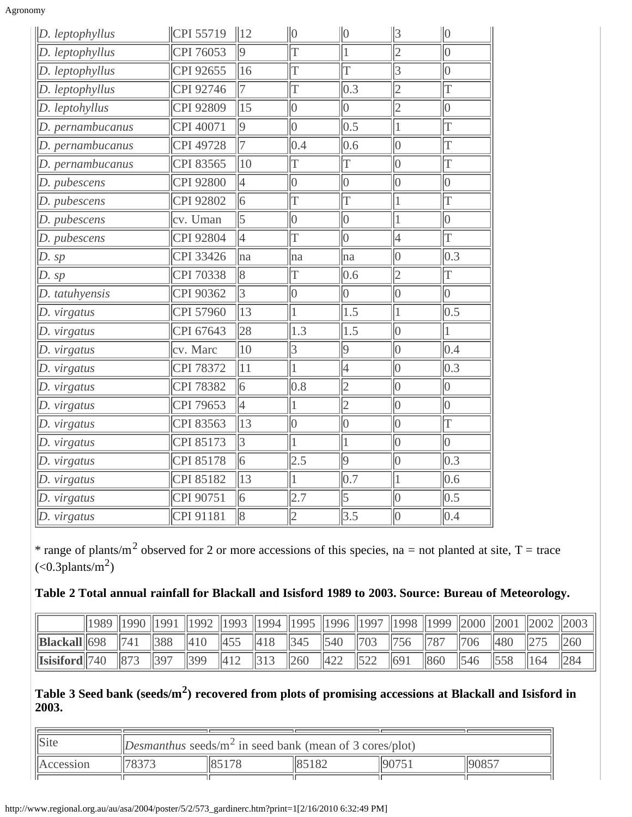| Agronomv |  |
|----------|--|
|          |  |

| $\ D.$ leptophyllus | CPI 55719        | $\parallel$ 12 | $\ 0\ $         | $\ 0\ $         | $\vert$ 3       | $\ 0\ $               |
|---------------------|------------------|----------------|-----------------|-----------------|-----------------|-----------------------|
| D. leptophyllus     | CPI 76053        | $ 9\rangle$    | T               | $\overline{1}$  | $\overline{2}$  | $\overline{0}$        |
| D. leptophyllus     | CPI 92655        | 16             | T               | $\overline{T}$  | $\overline{3}$  | $\overline{0}$        |
| D. leptophyllus     | CPI 92746        | 17             | T               | 0.3             | $\overline{2}$  | İΤ                    |
| D. leptohyllus      | CPI 92809        | 15             | 0               | $\vert 0 \vert$ | $\overline{2}$  | $\vert 0 \vert$       |
| D. pernambucanus    | CPI 40071        | $ 9\rangle$    | 0               | 0.5             | 1               | T                     |
| D. pernambucanus    | <b>CPI 49728</b> | 17             | 0.4             | 0.6             | 0               | T                     |
| D. pernambucanus    | CPI 83565        | 10             | T               | T               | $\vert 0 \vert$ | T                     |
| D. pubescens        | CPI 92800        | 4              | $\vert 0 \vert$ | $\vert 0 \vert$ | $\vert 0 \vert$ | $\vert 0 \vert$       |
| D. pubescens        | CPI 92802        | 6              | T               | İΤ              | $\mathbf{1}$    | İΤ                    |
| D. pubescens        | cv. Uman         | 5              | $\vert 0 \vert$ | $\vert 0 \vert$ | $\mathbf{1}$    | $\vert 0 \vert$       |
| D. pubescens        | CPI 92804        | $\overline{4}$ | $\overline{T}$  | $\vert 0 \vert$ | 4               | $\overline{\text{T}}$ |
| D. sp               | CPI 33426        | ha             | na              | ha              | $ 0\>$          | 0.3                   |
| D. sp               | CPI 70338        | $\overline{8}$ | T               | 0.6             | $\overline{2}$  | $\overline{T}$        |
| D. tatuhyensis      | CPI 90362        | 3              | 0               | $\vert 0 \vert$ | 0               | $\vert 0 \vert$       |
| D. virgatus         | CPI 57960        | 13             | $\mathbf{1}$    | 1.5             | 1               | 0.5                   |
| D. virgatus         | CPI 67643        | 28             | 1.3             | 1.5             | 0               | $\overline{1}$        |
| D. virgatus         | cv. Marc         | $ 10\rangle$   | $\overline{3}$  | $ 9\rangle$     | $\vert_0$       | 0.4                   |
| D. virgatus         | <b>CPI 78372</b> | 11             | $\mathbf{1}$    | 4               | 0               | $ 0.3\rangle$         |
| D. virgatus         | <b>CPI 78382</b> | $\overline{6}$ | 0.8             | $\overline{2}$  | $\overline{0}$  | $\vert 0 \vert$       |
| D. virgatus         | CPI 79653        | 4              | $\mathbf{1}$    | 2               | $\vert 0 \vert$ | $\vert 0 \vert$       |
| D. virgatus         | CPI 83563        | 13             | $\vert 0 \vert$ | $\vert 0 \vert$ | $\vert 0 \vert$ | T                     |
| D. virgatus         | CPI 85173        | 3              | $\vert$ 1       | $\vert$ 1       | 0               | $\vert 0 \vert$       |
| D. virgatus         | CPI 85178        | $\overline{6}$ | 2.5             | $ 9\rangle$     | $\vert 0 \vert$ | 0.3                   |
| D. virgatus         | CPI 85182        | 13             | $\mathbf{1}$    | 0.7             | $\mathbf{1}$    | 0.6                   |
| D. virgatus         | CPI 90751        | 6              | 2.7             | 5               | 0               | 0.5                   |
| D. virgatus         | CPI 91181        | $\sqrt{8}$     | 2               | 3.5             | $\vert 0 \vert$ | 0.4                   |

\* range of plants/m<sup>2</sup> observed for 2 or more accessions of this species, na = not planted at site, T = trace  $(<0.3$ plants/m<sup>2</sup>)

### **Table 2 Total annual rainfall for Blackall and Isisford 1989 to 2003. Source: Bureau of Meteorology.**

|                                                    | 1989   1990   1991 |                 |                 | 1992   1993   1994   1995   1996   1997   1998   1999   2000   2001   2002   2003 |                               |                 |                 |              |             |                 |                 |     |  |
|----------------------------------------------------|--------------------|-----------------|-----------------|-----------------------------------------------------------------------------------|-------------------------------|-----------------|-----------------|--------------|-------------|-----------------|-----------------|-----|--|
| $\left\  \text{Blackall} \right\ $ 698             |                    | $\parallel$ 741 | $\parallel$ 388 | $ 410\rangle$                                                                     | $\parallel 455 \parallel 418$ | $\ 345\ 540$    |                 | $\ 703\ 756$ |             | $\parallel$ 787 | $\ 706$         | 480 |  |
| $\left\Vert$ Isisiford $\left\Vert 740\right\Vert$ |                    | $\ 873$         |                 | $\parallel$ 399                                                                   | 412                           | $\parallel$ 260 | $\parallel 422$ |              | $\vert$ 691 | $\ 860\ $       | $\parallel$ 546 |     |  |

### **Table 3 Seed bank (seeds/m2) recovered from plots of promising accessions at Blackall and Isisford in 2003.**

| $\ $ Site        | Desmanthus seeds/m <sup>2</sup> in seed bank (mean of 3 cores/plot) |           |       |      |       |  |  |  |  |
|------------------|---------------------------------------------------------------------|-----------|-------|------|-------|--|--|--|--|
| <i>Accession</i> | 170272                                                              | $\ 85178$ | 85182 | 9075 | 90857 |  |  |  |  |
|                  |                                                                     |           |       |      |       |  |  |  |  |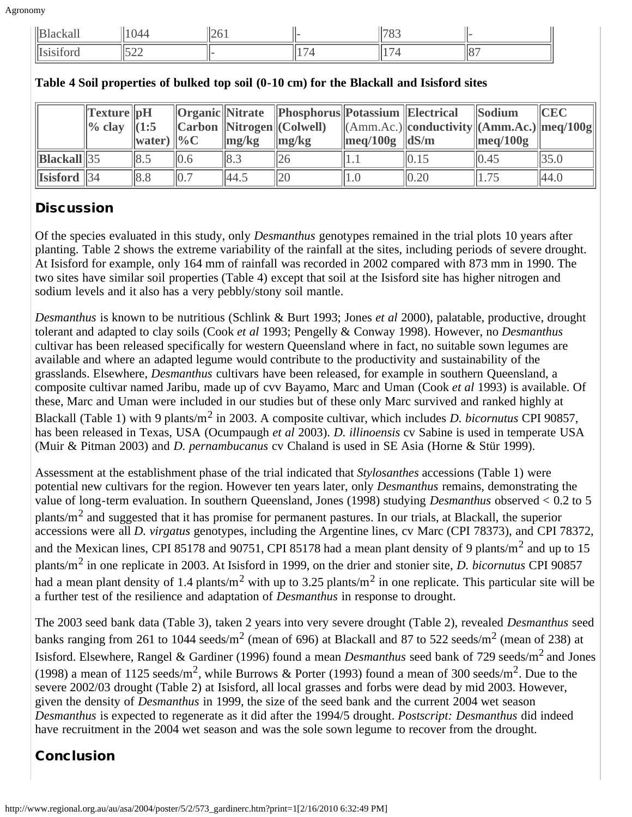| $\  B$       |                               | $\mathsf{I}\cap$<br>$\overline{\phantom{a}}$<br>. <b>.</b><br>□≃◡ |                          | $\sim$<br>ັ |  |
|--------------|-------------------------------|-------------------------------------------------------------------|--------------------------|-------------|--|
| Ħт<br>$\sim$ | $\sim$ $\sim$ $\sim$<br>∣↓∠∠∠ |                                                                   | $\overline{\phantom{0}}$ |             |  |

|                                                  | $\ $ Texture $\ $ pH<br>$\ %$ clay $\ $ (1:5 | $\ $ water) $\ $ %C |                 | $\langle \mathbf{mg/kg} \rangle$ | $\langle$  Organic   Nitrate   Phosphorus  Potassium   Electrical<br>$\ $ Carbon $\ $ Nitrogen $\ $ (Colwell)<br>$\langle \mathbf{mg/kg} \rangle$ | $\lVert \text{meq}/100g \rVert dS/m$ | $\ $ (Amm.Ac.) $\ $ conductivity $\ $ (Amm.Ac.) $\ $ meq/100g $\ $ | <b>Sodium</b><br>$\parallel$ meg/100g | $ $ CEC |
|--------------------------------------------------|----------------------------------------------|---------------------|-----------------|----------------------------------|---------------------------------------------------------------------------------------------------------------------------------------------------|--------------------------------------|--------------------------------------------------------------------|---------------------------------------|---------|
| $\ \text{Blackall}\ $ 35                         |                                              | 8.5                 | 0.6             | 8.3                              |                                                                                                                                                   | 1.1                                  | 0.15                                                               | 0.45                                  | 35.0    |
| $\left\Vert$ Isisford $\left\Vert 34\right\Vert$ |                                              | $\ 8.8$             | $\parallel$ 0.7 | 44.5                             | 20                                                                                                                                                | 1.0                                  | $\parallel$ 0.20                                                   | 1.75                                  | 44.0    |

#### **Table 4 Soil properties of bulked top soil (0-10 cm) for the Blackall and Isisford sites**

# **Discussion**

Of the species evaluated in this study, only *Desmanthus* genotypes remained in the trial plots 10 years after planting. Table 2 shows the extreme variability of the rainfall at the sites, including periods of severe drought. At Isisford for example, only 164 mm of rainfall was recorded in 2002 compared with 873 mm in 1990. The two sites have similar soil properties (Table 4) except that soil at the Isisford site has higher nitrogen and sodium levels and it also has a very pebbly/stony soil mantle.

*Desmanthus* is known to be nutritious (Schlink & Burt 1993; Jones *et al* 2000), palatable, productive, drought tolerant and adapted to clay soils (Cook *et al* 1993; Pengelly & Conway 1998). However, no *Desmanthus* cultivar has been released specifically for western Queensland where in fact, no suitable sown legumes are available and where an adapted legume would contribute to the productivity and sustainability of the grasslands. Elsewhere, *Desmanthus* cultivars have been released, for example in southern Queensland, a composite cultivar named Jaribu, made up of cvv Bayamo, Marc and Uman (Cook *et al* 1993) is available. Of these, Marc and Uman were included in our studies but of these only Marc survived and ranked highly at Blackall (Table 1) with 9 plants/m2 in 2003. A composite cultivar, which includes *D. bicornutus* CPI 90857, has been released in Texas, USA (Ocumpaugh *et al* 2003). *D. illinoensis* cv Sabine is used in temperate USA (Muir & Pitman 2003) and *D. pernambucanus* cv Chaland is used in SE Asia (Horne & Stür 1999).

Assessment at the establishment phase of the trial indicated that *Stylosanthes* accessions (Table 1) were potential new cultivars for the region. However ten years later, only *Desmanthus* remains, demonstrating the value of long-term evaluation. In southern Queensland, Jones (1998) studying *Desmanthus* observed < 0.2 to 5 plants/m2 and suggested that it has promise for permanent pastures. In our trials, at Blackall, the superior accessions were all *D. virgatus* genotypes, including the Argentine lines, cv Marc (CPI 78373), and CPI 78372, and the Mexican lines, CPI 85178 and 90751, CPI 85178 had a mean plant density of 9 plants/m<sup>2</sup> and up to 15 plants/m2 in one replicate in 2003. At Isisford in 1999, on the drier and stonier site, *D. bicornutus* CPI 90857 had a mean plant density of 1.4 plants/m<sup>2</sup> with up to 3.25 plants/m<sup>2</sup> in one replicate. This particular site will be a further test of the resilience and adaptation of *Desmanthus* in response to drought.

The 2003 seed bank data (Table 3), taken 2 years into very severe drought (Table 2), revealed *Desmanthus* seed banks ranging from 261 to 1044 seeds/m<sup>2</sup> (mean of 696) at Blackall and 87 to 522 seeds/m<sup>2</sup> (mean of 238) at Isisford. Elsewhere, Rangel & Gardiner (1996) found a mean *Desmanthus* seed bank of 729 seeds/m2 and Jones (1998) a mean of 1125 seeds/m<sup>2</sup>, while Burrows & Porter (1993) found a mean of 300 seeds/m<sup>2</sup>. Due to the severe 2002/03 drought (Table 2) at Isisford, all local grasses and forbs were dead by mid 2003. However, given the density of *Desmanthus* in 1999, the size of the seed bank and the current 2004 wet season *Desmanthus* is expected to regenerate as it did after the 1994/5 drought. *Postscript: Desmanthus* did indeed have recruitment in the 2004 wet season and was the sole sown legume to recover from the drought.

# Conclusion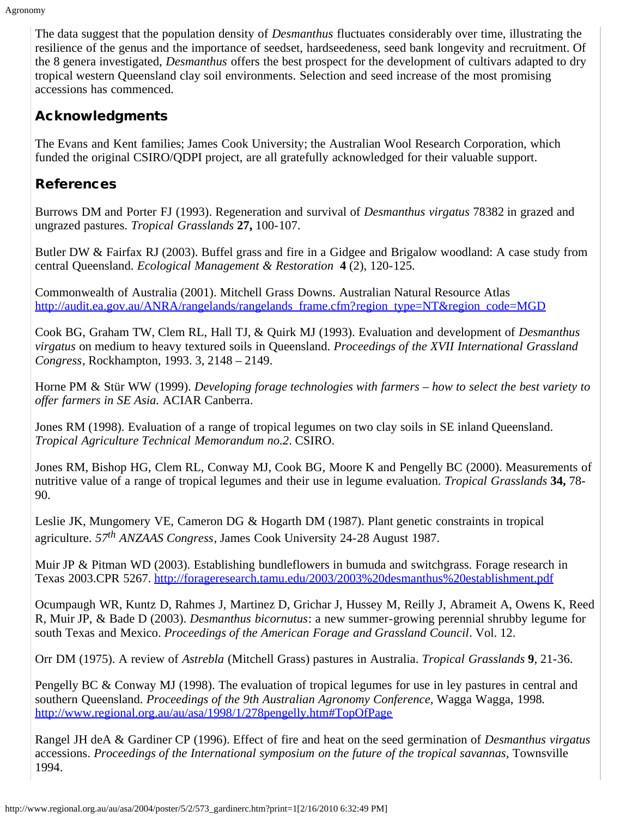The data suggest that the population density of *Desmanthus* fluctuates considerably over time, illustrating the resilience of the genus and the importance of seedset, hardseedeness, seed bank longevity and recruitment. Of the 8 genera investigated, *Desmanthus* offers the best prospect for the development of cultivars adapted to dry tropical western Queensland clay soil environments. Selection and seed increase of the most promising accessions has commenced.

## Acknowledgments

The Evans and Kent families; James Cook University; the Australian Wool Research Corporation, which funded the original CSIRO/QDPI project, are all gratefully acknowledged for their valuable support.

## References

Burrows DM and Porter FJ (1993). Regeneration and survival of *Desmanthus virgatus* 78382 in grazed and ungrazed pastures. *Tropical Grasslands* **27,** 100-107.

Butler DW & Fairfax RJ (2003). Buffel grass and fire in a Gidgee and Brigalow woodland: A case study from central Queensland. *Ecological Management & Restoration* **4** (2), 120-125.

Commonwealth of Australia (2001). Mitchell Grass Downs. Australian Natural Resource Atlas [http://audit.ea.gov.au/ANRA/rangelands/rangelands\\_frame.cfm?region\\_type=NT&region\\_code=MGD](http://audit.ea.gov.au/ANRA/rangelands/rangelands_frame.cfm?region_type=NT®ion_code=MGD)

Cook BG, Graham TW, Clem RL, Hall TJ, & Quirk MJ (1993). Evaluation and development of *Desmanthus virgatus* on medium to heavy textured soils in Queensland. *Proceedings of the XVII International Grassland Congress*, Rockhampton, 1993. 3, 2148 – 2149.

Horne PM & Stür WW (1999). *Developing forage technologies with farmers – how to select the best variety to offer farmers in SE Asia.* ACIAR Canberra.

Jones RM (1998). Evaluation of a range of tropical legumes on two clay soils in SE inland Queensland. *Tropical Agriculture Technical Memorandum no.2*. CSIRO.

Jones RM, Bishop HG, Clem RL, Conway MJ, Cook BG, Moore K and Pengelly BC (2000). Measurements of nutritive value of a range of tropical legumes and their use in legume evaluation. *Tropical Grasslands* **34,** 78- 90.

Leslie JK, Mungomery VE, Cameron DG & Hogarth DM (1987). Plant genetic constraints in tropical agriculture. *57th ANZAAS Congress*, James Cook University 24-28 August 1987.

Muir JP & Pitman WD (2003). Establishing bundleflowers in bumuda and switchgrass. Forage research in Texas 2003.CPR 5267. <http://forageresearch.tamu.edu/2003/2003%20desmanthus%20establishment.pdf>

Ocumpaugh WR, Kuntz D, Rahmes J, Martinez D, Grichar J, Hussey M, Reilly J, Abrameit A, Owens K, Reed R, Muir JP, & Bade D (2003). *Desmanthus bicornutus*: a new summer-growing perennial shrubby legume for south Texas and Mexico. *Proceedings of the American Forage and Grassland Council*. Vol. 12.

Orr DM (1975). A review of *Astrebla* (Mitchell Grass) pastures in Australia. *Tropical Grasslands* **9**, 21-36.

Pengelly BC & Conway MJ (1998). The evaluation of tropical legumes for use in ley pastures in central and southern Queensland. *Proceedings of the 9th Australian Agronomy Conference,* Wagga Wagga, 1998*.* <http://www.regional.org.au/au/asa/1998/1/278pengelly.htm#TopOfPage>

Rangel JH deA & Gardiner CP (1996). Effect of fire and heat on the seed germination of *Desmanthus virgatus* accessions. *Proceedings of the International symposium on the future of the tropical savannas*, Townsville 1994.